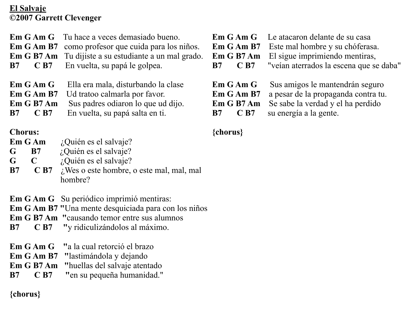### **El Salvaje ©2007 Garrett Clevenger**

| <b>B</b> 7<br>$\mathbf{C}$ B7                                           | <b>Em G Am G</b> Tu hace a veces demasiado bueno.<br><b>Em G Am B7</b> como profesor que cuida para los niños.<br><b>Em G B7 Am</b> Tu dijiste a su estudiante a un mal grado.<br>En vuelta, su papá le golpea. | Em G Am B7<br>$\overline{C}$ B7<br><b>B</b> 7                           | <b>Em G Am G</b> Le atacaron delante de su casa<br>Este mal hombre y su chóferasa.<br><b>Em G B7 Am</b> El sigue imprimiendo mentiras,<br>"veían aterrados la escena que se daba" |
|-------------------------------------------------------------------------|-----------------------------------------------------------------------------------------------------------------------------------------------------------------------------------------------------------------|-------------------------------------------------------------------------|-----------------------------------------------------------------------------------------------------------------------------------------------------------------------------------|
| Em G Am G<br>Em G Am B7<br>Em G B7 Am<br>$\overline{C}$ B7<br><b>B7</b> | Ella era mala, disturbando la clase<br>Ud tratoo calmarla por favor.<br>Sus padres odiaron lo que ud dijo.<br>En vuelta, su papá salta en ti.                                                                   | Em G Am G<br>Em G Am B7<br>Em G B7 Am<br>$\overline{C}$ B7<br><b>B7</b> | Sus amigos le mantendrán seguro<br>a pesar de la propaganda contra tu.<br>Se sabe la verdad y el ha perdido<br>su energía a la gente.                                             |

**{chorus}**

# **Chorus:**

| Em G Am | ¿Quién es el salvaje? |
|---------|-----------------------|
|         |                       |

- **G B7** ¿Quién es el salvaje?
- **G C** ¿Quién es el salvaje?
- **B7 C B7** *i*, Wes o este hombre, o este mal, mal, mal hombre?

**Em G Am G** Su periódico imprimió mentiras:

**Em G Am B7 "**Una mente desquiciada para con los niños

- **Em G B7 Am "**causando temor entre sus alumnos
- **B7 C B7 "**y ridiculizándolos al máximo.
- **Em G Am G "**a la cual retorció el brazo
- **Em G Am B7 "**lastimándola y dejando
- **Em G B7 Am "**huellas del salvaje atentado
- **B7 C B7 "**en su pequeña humanidad."

**{chorus}**